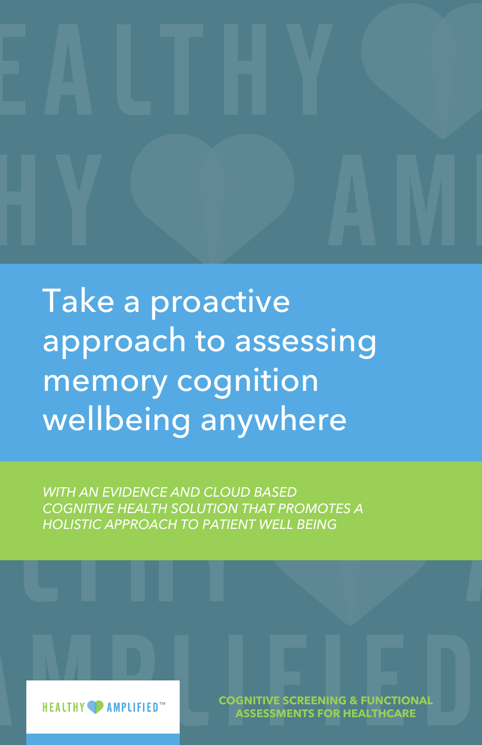

Take a proactive approach to assessing memory cognition wellbeing anywhere

*WITH AN EVIDENCE AND CLOUD BASED COGNITIVE HEALTH SOLUTION THAT PROMOTES A HOLISTIC APPROACH TO PATIENT WELL BEING*

> **COGNITIVE SCREENING & FUNCTIONAL ASSESSMENTS FOR HEALTHCARE**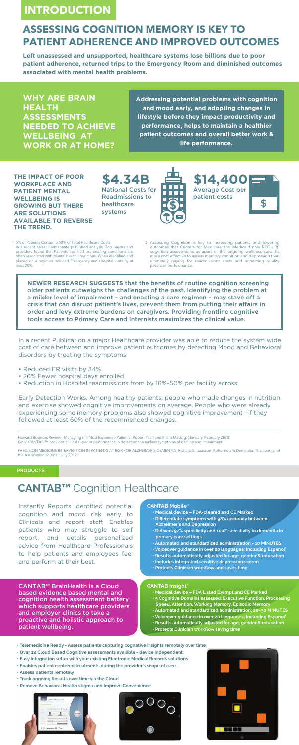# **INTRODUCTION**

**WHY ARE BRAIN HEALTH ASSESSMENTS NEEDED TO ACHIEVE WELLBEING AT WORK OR AT HOME?** 

# ™<br>TADHEI **ASSESSING COGNITION MEMORY IS KEY TO PATIENT ADHERENCE AND IMPROVED OUTCOMES**

**Left unassessed and unsupported, healthcare systems lose billions due to poor patient adherence, returned trips to the Emergency Room and diminished outcomes associated with mental health problems.**

**NEWER RESEARCH SUGGESTS** that the **benefits of routine cognition screening**<br> **NEWER RESEARCH SUGGESTS** that the benefits of routine cognition screening<br> **NEWER RESEARCH SUGGESTS** that the **benefits of routine cognition sc** Assessing Cognition is key to increasing patients and lowering outcomes that Centers for Medicare and Medicaid now REQUIRE cognition assessments as apart of the ongoing wellness care. Its more cost effective to assess memory cognition and depression than ultimately paying for readmissions costs and impacting quality provider performance.

5% of Patients Consume 50% of Total Healthcare Costs 1 2 2 In a recent Kaiser Permanente published analysis, Top payors and providers found that Patients that had pre-existing conditions are often associated with Mental health conditions. When identified and placed on a regimen reduced Emergency and Hospital visits by at least 20%.

**THE IMPACT OF POOR WORKPLACE AND PATIENT MENTAL WELLBEING IS GROWING BUT THERE ARE SOLUTIONS AVAILABLE TO REVERSE THE TREND.** 

**\$4.34B**  National Costs for Readmissions to healthcare systems



**\$14,400**  Average Cost per patient costs **\$** \$

tools<br>
In a rece<br>
cost of disorder In a recent Publication a major Healthcare provider was able to reduce the system wide cost of care between and improve patient outcomes by detecting Mood and Behavioral disorders by treating the symptoms.

**Addressing potential problems with cognition and mood early, and adopting changes in lifestyle before they impact productivity and performance, helps to maintain a healthier patient outcomes and overall better work & life performance.**

older patients outweighs the challenges of the past. Identifying the problem at a milder level of impairment – and enacting a care regimen – may stave off a crisis that can disrupt patient's lives, prevent them from putting their affairs in order and levy extreme burdens on caregivers. Providing frontline cognitive tools access to Primary Care and Internists maximizes the clinical value.

Harvard Business Review - Managing the Most Expensive Patients –Robert Pearl and Philip Madvig; (January–February 2020) Only CANTAB ™ provides clinical superior performance in detecting the earliest symptoms of decline and impairment

PRECISION MEDICINE INTERVENTION IN PATIENTS AT RISK FOR ALZHEIMER'S DEMENTIA -Richard S. Isaacson–Alzheimers & Dementia: The Journal of the Association Journal; July 2019.

#### **CANTAB Insight ®**

#### **® CANTAB Mobile**

- Reduced ER visits by 34%
- 26% Fewer hospital days enrolled
- Reduction in Hospital readmissions from by 16%~50% per facility across

Early Detection Works. Among healthy patients, people who made changes in nutrition and exercise showed cognitive improvements on average. People who were already experiencing some memory problems also showed cognitive improvement—if they followed at least 60% of the recommended changes.

# **CANTAB™** Cognition Healthcare

Instantly Reports identified potential cognition and mood risk early to Clinicals and report staff; Enables patients who may struggle to self report; and details personalized advice from Healthcare Professionals to help patients and employees feel and perform at their best.

CANTAB™ BrainHealth is a Cloud based evidence based mental and cognition health assessment battery which supports healthcare providers and employer clinics to take a proactive and holistic approach to patient wellbeing.

#### **PRODUCTS**

- **Medical device FDA Listed Exempt and CE Marked**
- **5 Cognitive Domains assessed: Executive Function, Processing Speed, Attention, Working Memory, Episodic Memory**
- **Automated and standardized administration; 20~30 MINUTES**
- **Voiceover guidance in over 20 languages; Including Espanol'**
- **Results automatically adjusted for age, gender & education**
- **Protects Clinician workflow saving time**
- **Telemedicine Ready Assess patients capturing cognative insights remotely over time**
- **Over 24 Cloud Based Cognitive assessments availible device independent;**
- **Easy integration setup with your existing Electronic Medical Records solutions**
- **Enables patient centered treatments during the provider's scope of care**
- **Assess patients remotely**
- **Track ongoing Results over time via the Cloud**

**• Remove Behavioral Health stigma and Improve Convenience**







- **Medical device FDA-cleared and CE Marked**
- **Differentiate symptoms with 98% accuracy between Alzheimer's and Depression**
- **Delivers 92% specificity and 100% sensitivity to dementia in primary care settings**
- **Automated and standardized administration 10 MINUTES**
- **Voiceover guidance in over 20 languages; Including Espanol'**
- **Results automatically adjusted for age, gender & education**
- **Includes integrated sensitive depression screen**
- **Protects Clinician workflow and saves time**